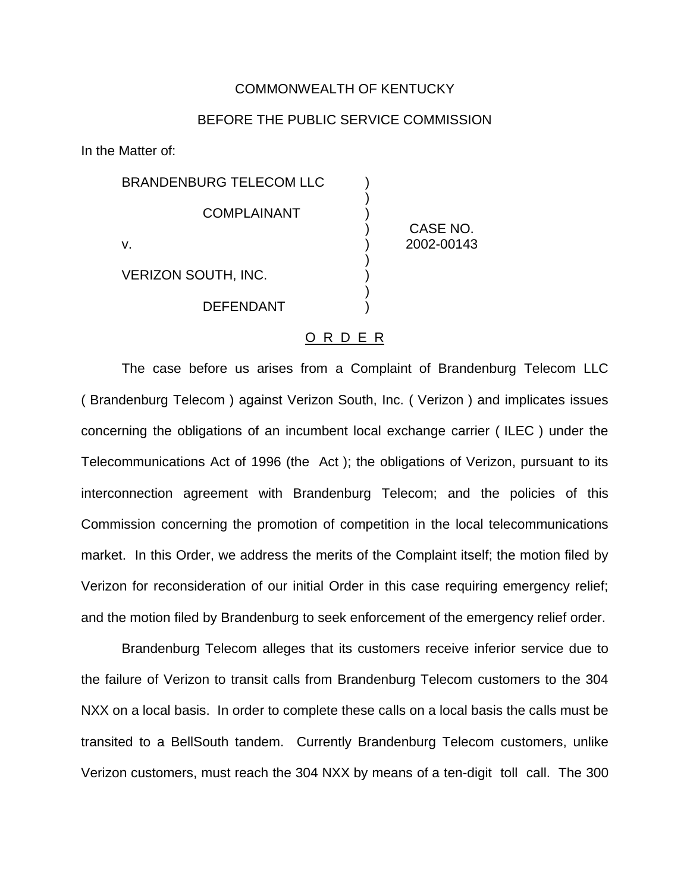## COMMONWEALTH OF KENTUCKY

## BEFORE THE PUBLIC SERVICE COMMISSION

In the Matter of:

BRANDENBURG TELECOM LLC ) ) **COMPLAINANT** v. ) 2002-00143 ) VERIZON SOUTH, INC. ) )

**DEFENDANT** 

) CASE NO.

## O R D E R

The case before us arises from a Complaint of Brandenburg Telecom LLC ( Brandenburg Telecom ) against Verizon South, Inc. ( Verizon ) and implicates issues concerning the obligations of an incumbent local exchange carrier ( ILEC ) under the Telecommunications Act of 1996 (the Act ); the obligations of Verizon, pursuant to its interconnection agreement with Brandenburg Telecom; and the policies of this Commission concerning the promotion of competition in the local telecommunications market. In this Order, we address the merits of the Complaint itself; the motion filed by Verizon for reconsideration of our initial Order in this case requiring emergency relief; and the motion filed by Brandenburg to seek enforcement of the emergency relief order.

Brandenburg Telecom alleges that its customers receive inferior service due to the failure of Verizon to transit calls from Brandenburg Telecom customers to the 304 NXX on a local basis. In order to complete these calls on a local basis the calls must be transited to a BellSouth tandem. Currently Brandenburg Telecom customers, unlike Verizon customers, must reach the 304 NXX by means of a ten-digit toll call. The 300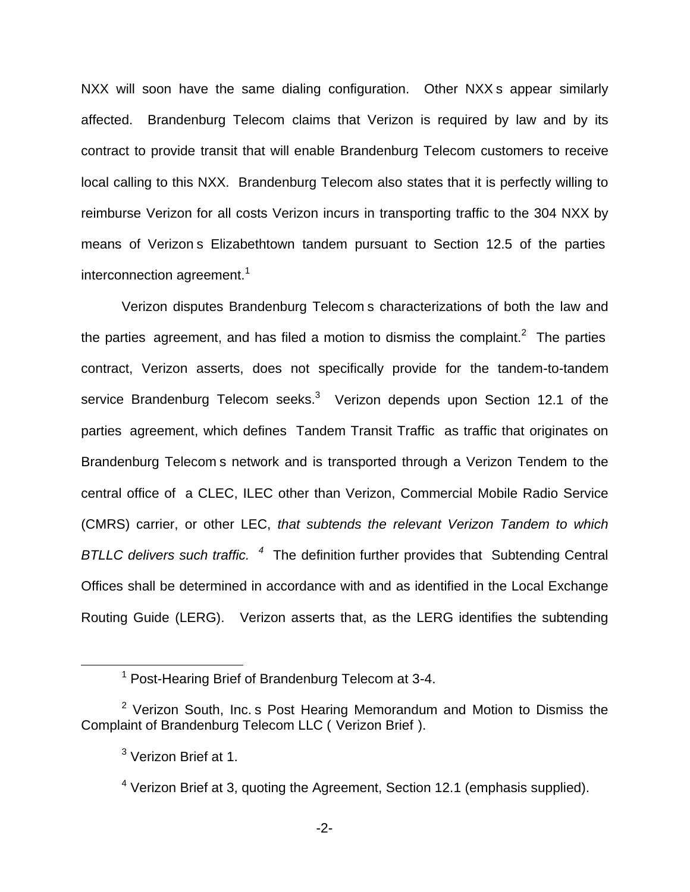NXX will soon have the same dialing configuration. Other NXX s appear similarly affected. Brandenburg Telecom claims that Verizon is required by law and by its contract to provide transit that will enable Brandenburg Telecom customers to receive local calling to this NXX. Brandenburg Telecom also states that it is perfectly willing to reimburse Verizon for all costs Verizon incurs in transporting traffic to the 304 NXX by means of Verizon s Elizabethtown tandem pursuant to Section 12.5 of the parties interconnection agreement.<sup>1</sup>

Verizon disputes Brandenburg Telecom s characterizations of both the law and the parties agreement, and has filed a motion to dismiss the complaint.<sup>2</sup> The parties contract, Verizon asserts, does not specifically provide for the tandem-to-tandem service Brandenburg Telecom seeks.<sup>3</sup> Verizon depends upon Section 12.1 of the parties agreement, which defines Tandem Transit Traffic as traffic that originates on Brandenburg Telecom s network and is transported through a Verizon Tendem to the central office of a CLEC, ILEC other than Verizon, Commercial Mobile Radio Service (CMRS) carrier, or other LEC, *that subtends the relevant Verizon Tandem to which BTLLC delivers such traffic. <sup>4</sup>* The definition further provides that Subtending Central Offices shall be determined in accordance with and as identified in the Local Exchange Routing Guide (LERG). Verizon asserts that, as the LERG identifies the subtending

<sup>1</sup> Post-Hearing Brief of Brandenburg Telecom at 3-4.

 $2$  Verizon South, Inc. s Post Hearing Memorandum and Motion to Dismiss the Complaint of Brandenburg Telecom LLC ( Verizon Brief ).

<sup>&</sup>lt;sup>3</sup> Verizon Brief at 1.

 $4$  Verizon Brief at 3, quoting the Agreement, Section 12.1 (emphasis supplied).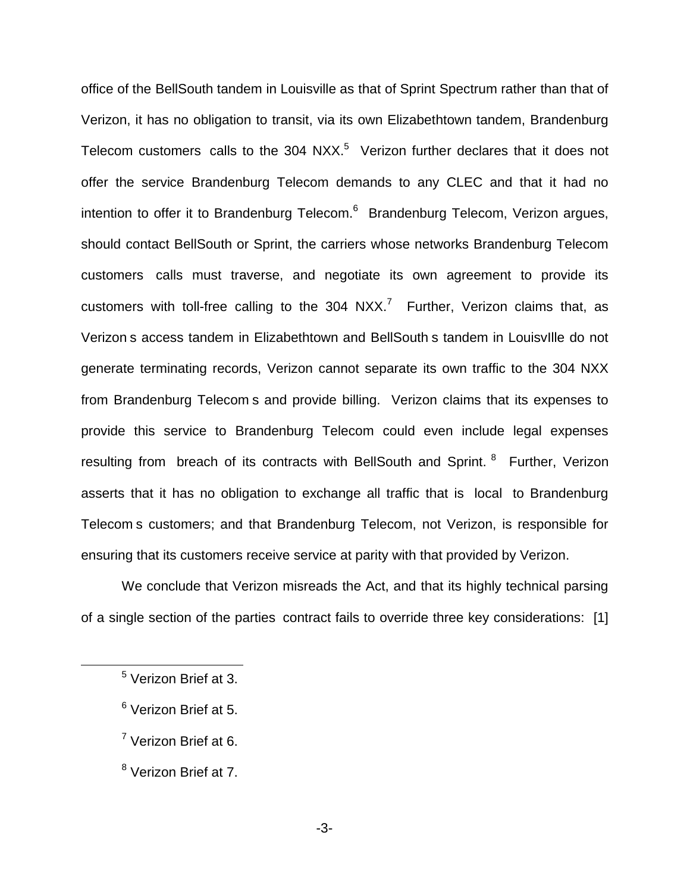office of the BellSouth tandem in Louisville as that of Sprint Spectrum rather than that of Verizon, it has no obligation to transit, via its own Elizabethtown tandem, Brandenburg Telecom customers calls to the  $304$  NXX.<sup>5</sup> Verizon further declares that it does not offer the service Brandenburg Telecom demands to any CLEC and that it had no intention to offer it to Brandenburg Telecom. $6$  Brandenburg Telecom, Verizon argues, should contact BellSouth or Sprint, the carriers whose networks Brandenburg Telecom customers calls must traverse, and negotiate its own agreement to provide its customers with toll-free calling to the  $304$  NXX.<sup>7</sup> Further, Verizon claims that, as Verizon s access tandem in Elizabethtown and BellSouth s tandem in LouisvIlle do not generate terminating records, Verizon cannot separate its own traffic to the 304 NXX from Brandenburg Telecom s and provide billing. Verizon claims that its expenses to provide this service to Brandenburg Telecom could even include legal expenses resulting from breach of its contracts with BellSouth and Sprint. <sup>8</sup> Further, Verizon asserts that it has no obligation to exchange all traffic that is local to Brandenburg Telecom s customers; and that Brandenburg Telecom, not Verizon, is responsible for ensuring that its customers receive service at parity with that provided by Verizon.

We conclude that Verizon misreads the Act, and that its highly technical parsing of a single section of the parties contract fails to override three key considerations: [1]

- <sup>6</sup> Verizon Brief at 5.
- <sup>7</sup> Verizon Brief at 6.
- <sup>8</sup> Verizon Brief at 7.

<sup>5</sup> Verizon Brief at 3.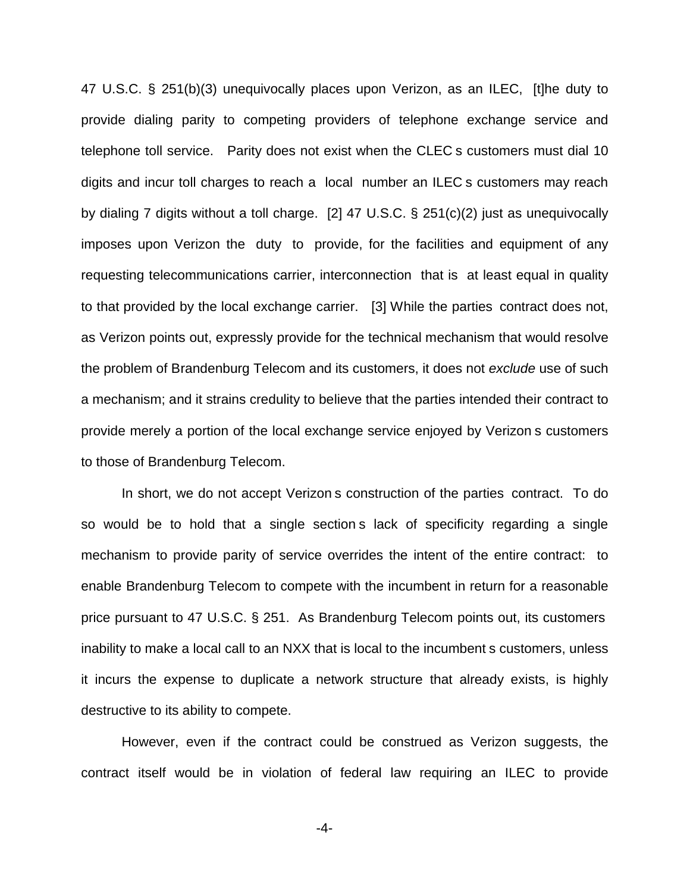47 U.S.C. § 251(b)(3) unequivocally places upon Verizon, as an ILEC, [t]he duty to provide dialing parity to competing providers of telephone exchange service and telephone toll service. Parity does not exist when the CLEC s customers must dial 10 digits and incur toll charges to reach a local number an ILEC s customers may reach by dialing 7 digits without a toll charge. [2] 47 U.S.C. § 251(c)(2) just as unequivocally imposes upon Verizon the duty to provide, for the facilities and equipment of any requesting telecommunications carrier, interconnection that is at least equal in quality to that provided by the local exchange carrier. [3] While the parties contract does not, as Verizon points out, expressly provide for the technical mechanism that would resolve the problem of Brandenburg Telecom and its customers, it does not *exclude* use of such a mechanism; and it strains credulity to believe that the parties intended their contract to provide merely a portion of the local exchange service enjoyed by Verizon s customers to those of Brandenburg Telecom.

In short, we do not accept Verizon s construction of the parties contract. To do so would be to hold that a single section s lack of specificity regarding a single mechanism to provide parity of service overrides the intent of the entire contract: to enable Brandenburg Telecom to compete with the incumbent in return for a reasonable price pursuant to 47 U.S.C. § 251. As Brandenburg Telecom points out, its customers inability to make a local call to an NXX that is local to the incumbent s customers, unless it incurs the expense to duplicate a network structure that already exists, is highly destructive to its ability to compete.

However, even if the contract could be construed as Verizon suggests, the contract itself would be in violation of federal law requiring an ILEC to provide

-4-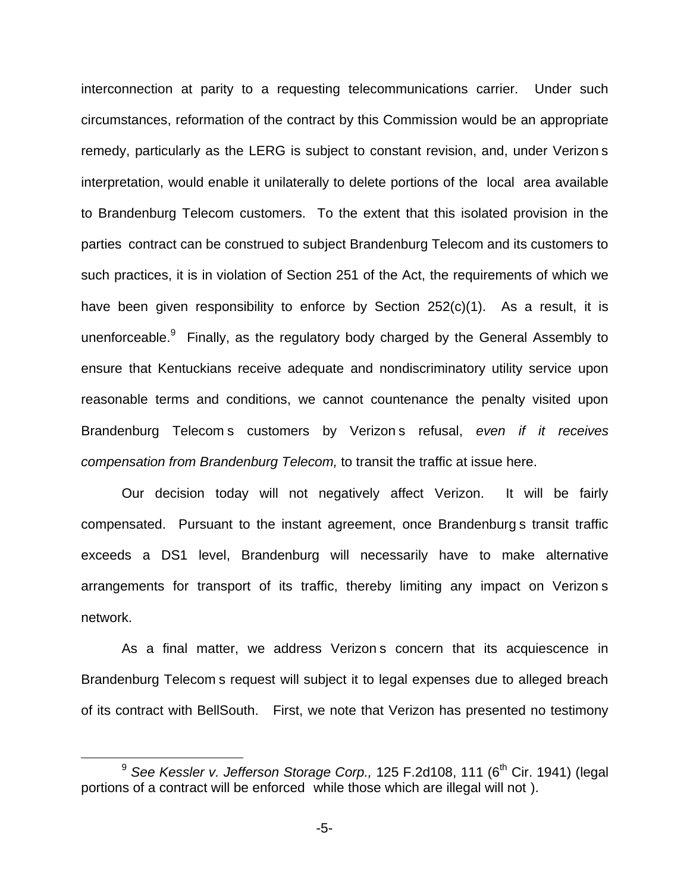interconnection at parity to a requesting telecommunications carrier. Under such circumstances, reformation of the contract by this Commission would be an appropriate remedy, particularly as the LERG is subject to constant revision, and, under Verizon s interpretation, would enable it unilaterally to delete portions of the local area available to Brandenburg Telecom customers. To the extent that this isolated provision in the parties contract can be construed to subject Brandenburg Telecom and its customers to such practices, it is in violation of Section 251 of the Act, the requirements of which we have been given responsibility to enforce by Section 252(c)(1). As a result, it is unenforceable. $9$  Finally, as the regulatory body charged by the General Assembly to ensure that Kentuckians receive adequate and nondiscriminatory utility service upon reasonable terms and conditions, we cannot countenance the penalty visited upon Brandenburg Telecom s customers by Verizon s refusal, *even if it receives compensation from Brandenburg Telecom,* to transit the traffic at issue here.

Our decision today will not negatively affect Verizon. It will be fairly compensated. Pursuant to the instant agreement, once Brandenburg s transit traffic exceeds a DS1 level, Brandenburg will necessarily have to make alternative arrangements for transport of its traffic, thereby limiting any impact on Verizon s network.

As a final matter, we address Verizon s concern that its acquiescence in Brandenburg Telecom s request will subject it to legal expenses due to alleged breach of its contract with BellSouth. First, we note that Verizon has presented no testimony

<sup>&</sup>lt;sup>9</sup> See Kessler v. Jefferson Storage Corp., 125 F.2d108, 111 (6<sup>th</sup> Cir. 1941) (legal portions of a contract will be enforced while those which are illegal will not ).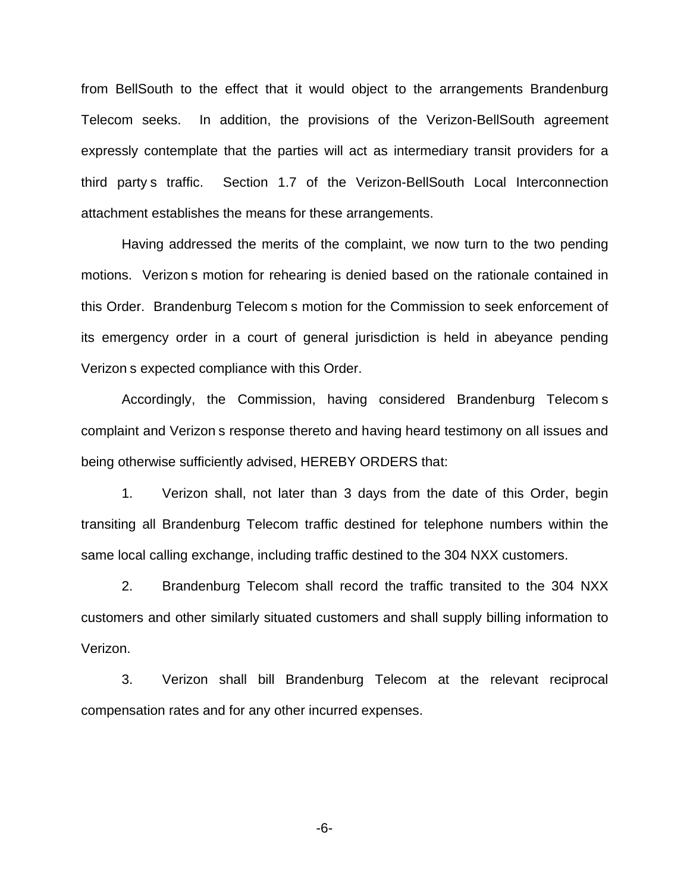from BellSouth to the effect that it would object to the arrangements Brandenburg Telecom seeks. In addition, the provisions of the Verizon-BellSouth agreement expressly contemplate that the parties will act as intermediary transit providers for a third party s traffic. Section 1.7 of the Verizon-BellSouth Local Interconnection attachment establishes the means for these arrangements.

Having addressed the merits of the complaint, we now turn to the two pending motions. Verizon s motion for rehearing is denied based on the rationale contained in this Order. Brandenburg Telecom s motion for the Commission to seek enforcement of its emergency order in a court of general jurisdiction is held in abeyance pending Verizon s expected compliance with this Order.

Accordingly, the Commission, having considered Brandenburg Telecom s complaint and Verizon s response thereto and having heard testimony on all issues and being otherwise sufficiently advised, HEREBY ORDERS that:

1. Verizon shall, not later than 3 days from the date of this Order, begin transiting all Brandenburg Telecom traffic destined for telephone numbers within the same local calling exchange, including traffic destined to the 304 NXX customers.

2. Brandenburg Telecom shall record the traffic transited to the 304 NXX customers and other similarly situated customers and shall supply billing information to Verizon.

3. Verizon shall bill Brandenburg Telecom at the relevant reciprocal compensation rates and for any other incurred expenses.

-6-